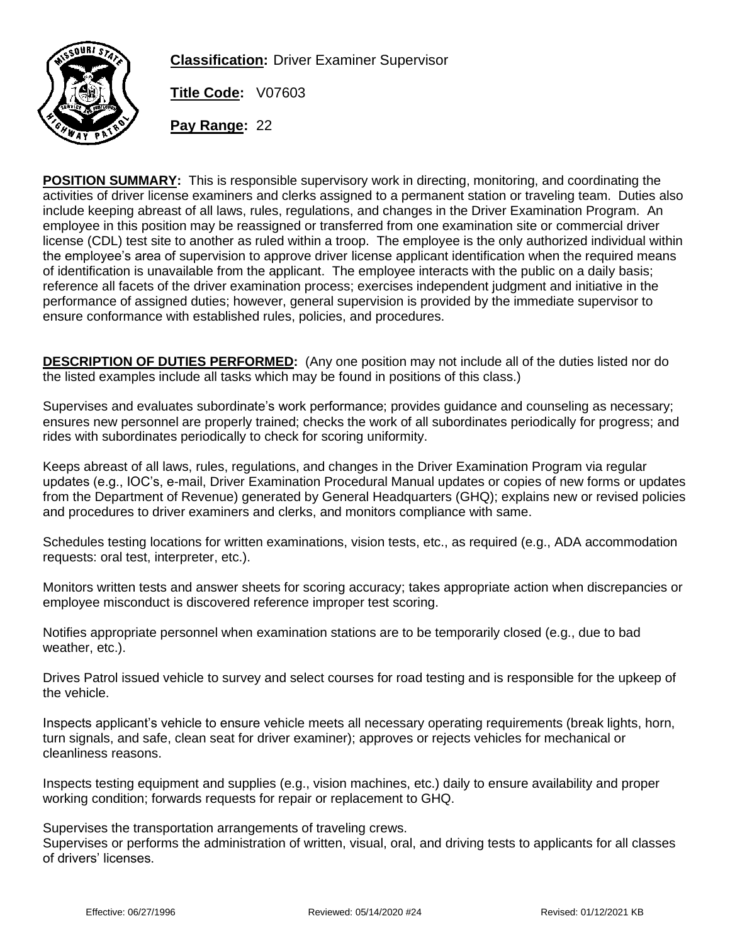

**Classification:** Driver Examiner Supervisor

**Title Code:** V07603

**Pay Range:** 22

**POSITION SUMMARY:** This is responsible supervisory work in directing, monitoring, and coordinating the activities of driver license examiners and clerks assigned to a permanent station or traveling team. Duties also include keeping abreast of all laws, rules, regulations, and changes in the Driver Examination Program. An employee in this position may be reassigned or transferred from one examination site or commercial driver license (CDL) test site to another as ruled within a troop. The employee is the only authorized individual within the employee's area of supervision to approve driver license applicant identification when the required means of identification is unavailable from the applicant. The employee interacts with the public on a daily basis; reference all facets of the driver examination process; exercises independent judgment and initiative in the performance of assigned duties; however, general supervision is provided by the immediate supervisor to ensure conformance with established rules, policies, and procedures.

**DESCRIPTION OF DUTIES PERFORMED:** (Any one position may not include all of the duties listed nor do the listed examples include all tasks which may be found in positions of this class.)

Supervises and evaluates subordinate's work performance; provides guidance and counseling as necessary; ensures new personnel are properly trained; checks the work of all subordinates periodically for progress; and rides with subordinates periodically to check for scoring uniformity.

Keeps abreast of all laws, rules, regulations, and changes in the Driver Examination Program via regular updates (e.g., IOC's, e-mail, Driver Examination Procedural Manual updates or copies of new forms or updates from the Department of Revenue) generated by General Headquarters (GHQ); explains new or revised policies and procedures to driver examiners and clerks, and monitors compliance with same.

Schedules testing locations for written examinations, vision tests, etc., as required (e.g., ADA accommodation requests: oral test, interpreter, etc.).

Monitors written tests and answer sheets for scoring accuracy; takes appropriate action when discrepancies or employee misconduct is discovered reference improper test scoring.

Notifies appropriate personnel when examination stations are to be temporarily closed (e.g., due to bad weather, etc.).

Drives Patrol issued vehicle to survey and select courses for road testing and is responsible for the upkeep of the vehicle.

Inspects applicant's vehicle to ensure vehicle meets all necessary operating requirements (break lights, horn, turn signals, and safe, clean seat for driver examiner); approves or rejects vehicles for mechanical or cleanliness reasons.

Inspects testing equipment and supplies (e.g., vision machines, etc.) daily to ensure availability and proper working condition; forwards requests for repair or replacement to GHQ.

Supervises the transportation arrangements of traveling crews.

Supervises or performs the administration of written, visual, oral, and driving tests to applicants for all classes of drivers' licenses.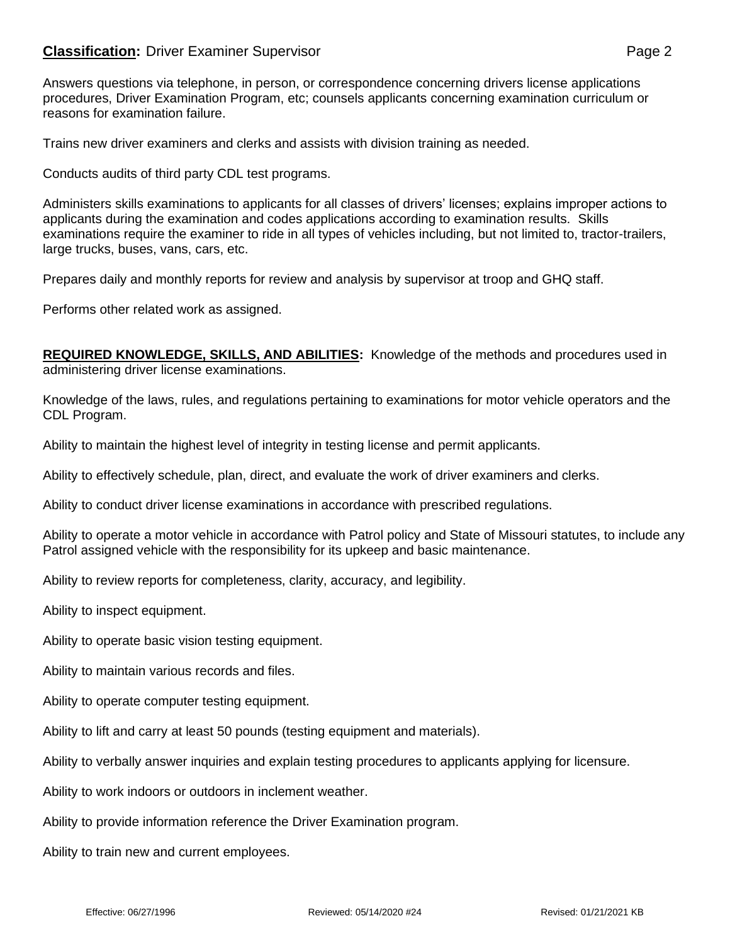## **Classification:** Driver Examiner Supervisor **Page 2** Page 2

Answers questions via telephone, in person, or correspondence concerning drivers license applications procedures, Driver Examination Program, etc; counsels applicants concerning examination curriculum or reasons for examination failure.

Trains new driver examiners and clerks and assists with division training as needed.

Conducts audits of third party CDL test programs.

Administers skills examinations to applicants for all classes of drivers' licenses; explains improper actions to applicants during the examination and codes applications according to examination results. Skills examinations require the examiner to ride in all types of vehicles including, but not limited to, tractor-trailers, large trucks, buses, vans, cars, etc.

Prepares daily and monthly reports for review and analysis by supervisor at troop and GHQ staff.

Performs other related work as assigned.

**REQUIRED KNOWLEDGE, SKILLS, AND ABILITIES:** Knowledge of the methods and procedures used in administering driver license examinations.

Knowledge of the laws, rules, and regulations pertaining to examinations for motor vehicle operators and the CDL Program.

Ability to maintain the highest level of integrity in testing license and permit applicants.

Ability to effectively schedule, plan, direct, and evaluate the work of driver examiners and clerks.

Ability to conduct driver license examinations in accordance with prescribed regulations.

Ability to operate a motor vehicle in accordance with Patrol policy and State of Missouri statutes, to include any Patrol assigned vehicle with the responsibility for its upkeep and basic maintenance.

Ability to review reports for completeness, clarity, accuracy, and legibility.

Ability to inspect equipment.

Ability to operate basic vision testing equipment.

Ability to maintain various records and files.

Ability to operate computer testing equipment.

Ability to lift and carry at least 50 pounds (testing equipment and materials).

Ability to verbally answer inquiries and explain testing procedures to applicants applying for licensure.

Ability to work indoors or outdoors in inclement weather.

Ability to provide information reference the Driver Examination program.

Ability to train new and current employees.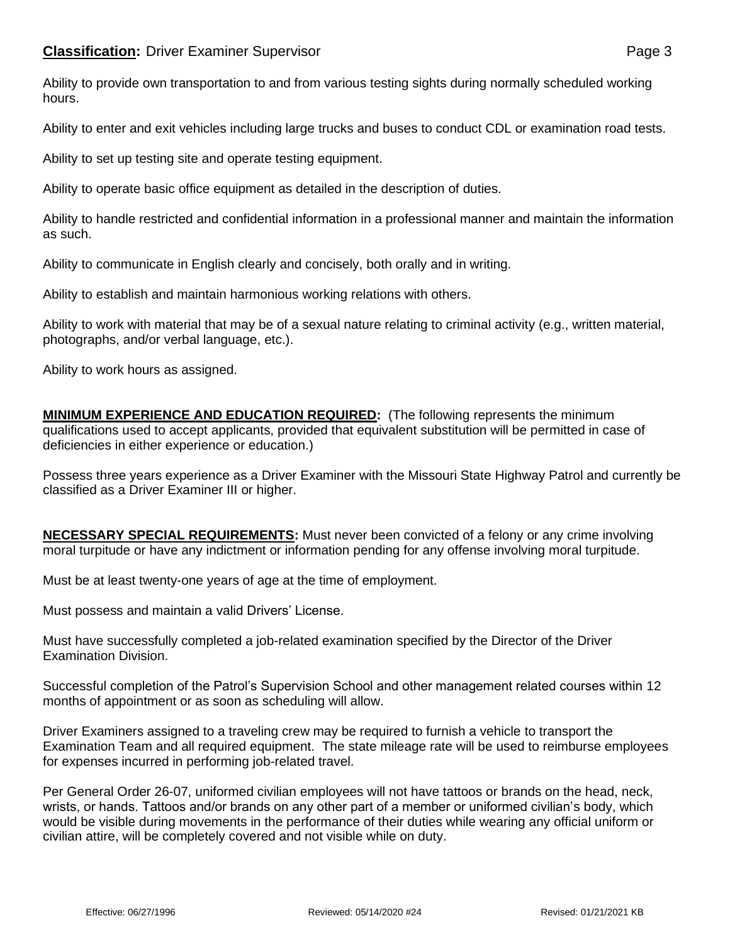Ability to provide own transportation to and from various testing sights during normally scheduled working hours.

Ability to enter and exit vehicles including large trucks and buses to conduct CDL or examination road tests.

Ability to set up testing site and operate testing equipment.

Ability to operate basic office equipment as detailed in the description of duties.

Ability to handle restricted and confidential information in a professional manner and maintain the information as such.

Ability to communicate in English clearly and concisely, both orally and in writing.

Ability to establish and maintain harmonious working relations with others.

Ability to work with material that may be of a sexual nature relating to criminal activity (e.g., written material, photographs, and/or verbal language, etc.).

Ability to work hours as assigned.

**MINIMUM EXPERIENCE AND EDUCATION REQUIRED:** (The following represents the minimum qualifications used to accept applicants, provided that equivalent substitution will be permitted in case of deficiencies in either experience or education.)

Possess three years experience as a Driver Examiner with the Missouri State Highway Patrol and currently be classified as a Driver Examiner III or higher.

**NECESSARY SPECIAL REQUIREMENTS:** Must never been convicted of a felony or any crime involving moral turpitude or have any indictment or information pending for any offense involving moral turpitude.

Must be at least twenty-one years of age at the time of employment.

Must possess and maintain a valid Drivers' License.

Must have successfully completed a job-related examination specified by the Director of the Driver Examination Division.

Successful completion of the Patrol's Supervision School and other management related courses within 12 months of appointment or as soon as scheduling will allow.

Driver Examiners assigned to a traveling crew may be required to furnish a vehicle to transport the Examination Team and all required equipment. The state mileage rate will be used to reimburse employees for expenses incurred in performing job-related travel.

Per General Order 26-07, uniformed civilian employees will not have tattoos or brands on the head, neck, wrists, or hands. Tattoos and/or brands on any other part of a member or uniformed civilian's body, which would be visible during movements in the performance of their duties while wearing any official uniform or civilian attire, will be completely covered and not visible while on duty.